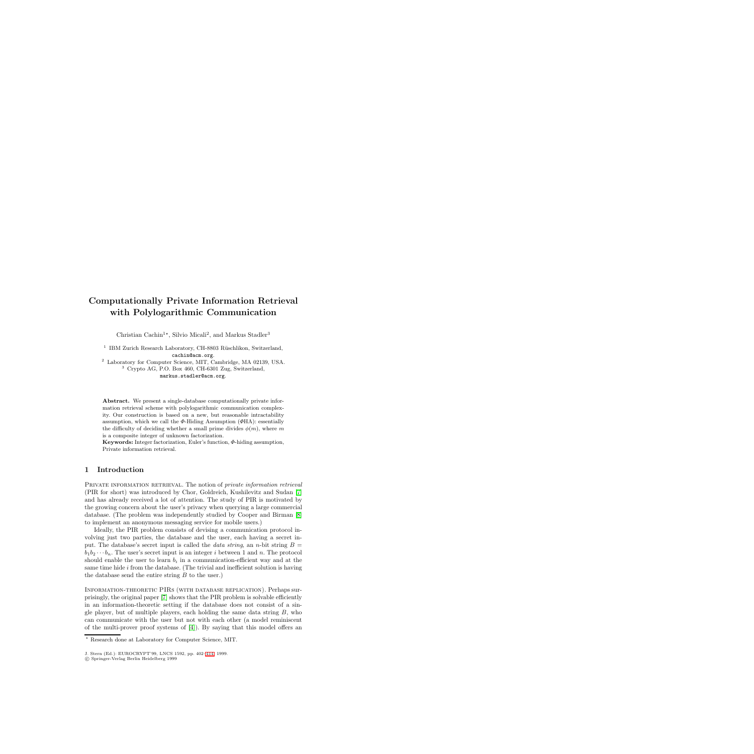# **Computationally Private Information Retrieval with Polylogarithmic Communication**

Christian Cachin<sup>1\*</sup>, Silvio Micali<sup>2</sup>, and Markus Stadler<sup>3</sup>

<sup>1</sup> IBM Zurich Research Laboratory, CH-8803 Rüschlikon, Switzerland, cachin@acm.org.

<sup>2</sup> Laboratory for Computer Science, MIT, Cambridge, MA 02139, USA. <sup>3</sup> Crypto AG, P.O. Box 460, CH-6301 Zug, Switzerland, markus.stadler@acm.org.

**Abstract.** We present a single-database computationally private information retrieval scheme with polylogarithmic communication complexity. Our construction is based on a new, but reasonable intractability assumption, which we call the  $\Phi$ -Hiding Assumption ( $\Phi$ HA): essentially the difficulty of deciding whether a small prime divides  $\phi(m)$ , where m is a composite integer of unknown factorization.

**Keywords:** Integer factorization, Euler's function, Φ-hiding assumption, Private information retrieval.

## **1 Introduction**

PRIVATE INFORMATION RETRIEVAL. The notion of *private information retrieval* (PIR for short) was introduced by Chor, Goldreich, Kushilevitz and Sudan [\[7\]](#page-12-0) and has already received a lot of attention. The study of PIR is motivated by the growing concern about the user's privacy when querying a large commercial database. (The problem was independently studied by Cooper and Birman [\[8\]](#page-12-1) to implement an anonymous messaging service for mobile users.)

Ideally, the PIR problem consists of devising a communication protocol involving just two parties, the database and the user, each having a secret input. The database's secret input is called the *data string*, an *n*-bit string  $B =$  $b_1b_2\cdots b_n$ . The user's secret input is an integer i between 1 and n. The protocol should enable the user to learn  $b_i$  in a communication-efficient way and at the same time hide  $i$  from the database. (The trivial and inefficient solution is having the database send the entire string  $B$  to the user.)

Information-theoretic PIRs (with database replication). Perhaps surprisingly, the original paper [\[7\]](#page-12-0) shows that the PIR problem is solvable efficiently in an information-theoretic setting if the database does not consist of a single player, but of multiple players, each holding the same data string  $B$ , who can communicate with the user but not with each other (a model reminiscent of the multi-prover proof systems of [\[4\]](#page-12-2)). By saying that this model offers an

<sup>?</sup> Research done at Laboratory for Computer Science, MIT.

J. Stern (Ed.): EUROCRYPT'99, LNCS 1592, pp. 402[–414,](#page-12-3) 1999.

c Springer-Verlag Berlin Heidelberg 1999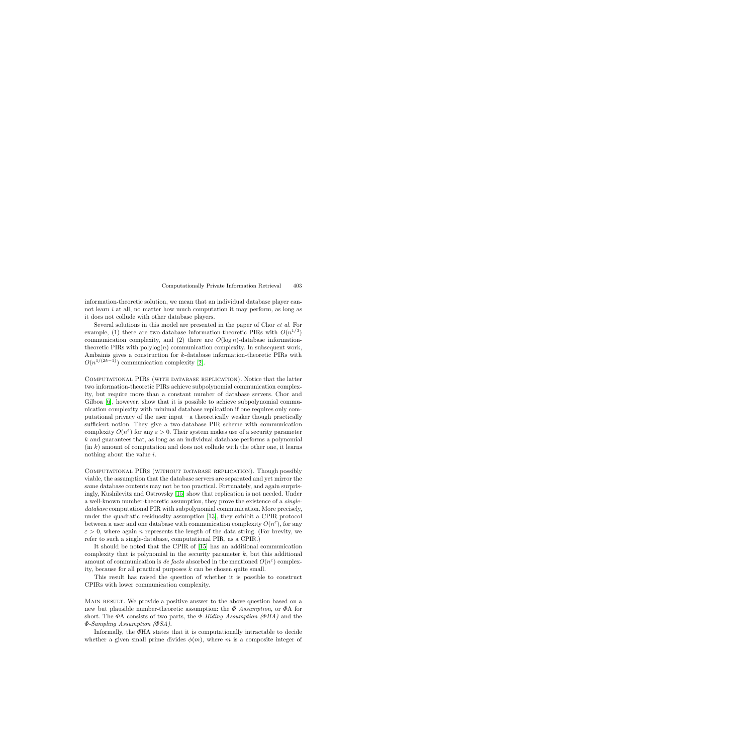information-theoretic solution, we mean that an individual database player cannot learn i at all, no matter how much computation it may perform, as long as it does not collude with other database players.

Several solutions in this model are presented in the paper of Chor *et al.* For example, (1) there are two-database information-theoretic PIRs with  $O(n^{1/3})$ communication complexity, and (2) there are  $O(\log n)$ -database informationtheoretic PIRs with  $polylog(n)$  communication complexity. In subsequent work, Ambainis gives a construction for k-database information-theoretic PIRs with  $O(n^{1/(2k-1)})$  communication complexity [\[2\]](#page-12-4).

Computational PIRs (with database replication). Notice that the latter two information-theoretic PIRs achieve subpolynomial communication complexity, but require more than a constant number of database servers. Chor and Gilboa [\[6\]](#page-12-5), however, show that it is possible to achieve subpolynomial communication complexity with minimal database replication if one requires only computational privacy of the user input—a theoretically weaker though practically sufficient notion. They give a two-database PIR scheme with communication complexity  $O(n^{\epsilon})$  for any  $\epsilon > 0$ . Their system makes use of a security parameter k and guarantees that, as long as an individual database performs a polynomial  $(\text{in } k)$  amount of computation and does not collude with the other one, it learns nothing about the value i.

Computational PIRs (without database replication). Though possibly viable, the assumption that the database servers are separated and yet mirror the same database contents may not be too practical. Fortunately, and again surprisingly, Kushilevitz and Ostrovsky [\[15\]](#page-12-6) show that replication is not needed. Under a well-known number-theoretic assumption, they prove the existence of a *singledatabase* computational PIR with subpolynomial communication. More precisely, under the quadratic residuosity assumption [\[13\]](#page-12-7), they exhibit a CPIR protocol between a user and one database with communication complexity  $O(n^{\epsilon})$ , for any  $\varepsilon > 0$ , where again *n* represents the length of the data string. (For brevity, we refer to such a single-database, computational PIR, as a CPIR.)

It should be noted that the CPIR of [\[15\]](#page-12-6) has an additional communication complexity that is polynomial in the security parameter  $k$ , but this additional amount of communication is *de facto* absorbed in the mentioned  $O(n^{\epsilon})$  complexity, because for all practical purposes  $k$  can be chosen quite small.

This result has raised the question of whether it is possible to construct CPIRs with lower communication complexity.

MAIN RESULT. We provide a positive answer to the above question based on a new but plausible number-theoretic assumption: the Φ *Assumption*, or ΦA for short. The ΦA consists of two parts, the Φ*-Hiding Assumption (*Φ*HA)* and the Φ*-Sampling Assumption (*Φ*SA)*.

Informally, the  $\Phi$ HA states that it is computationally intractable to decide whether a given small prime divides  $\phi(m)$ , where m is a composite integer of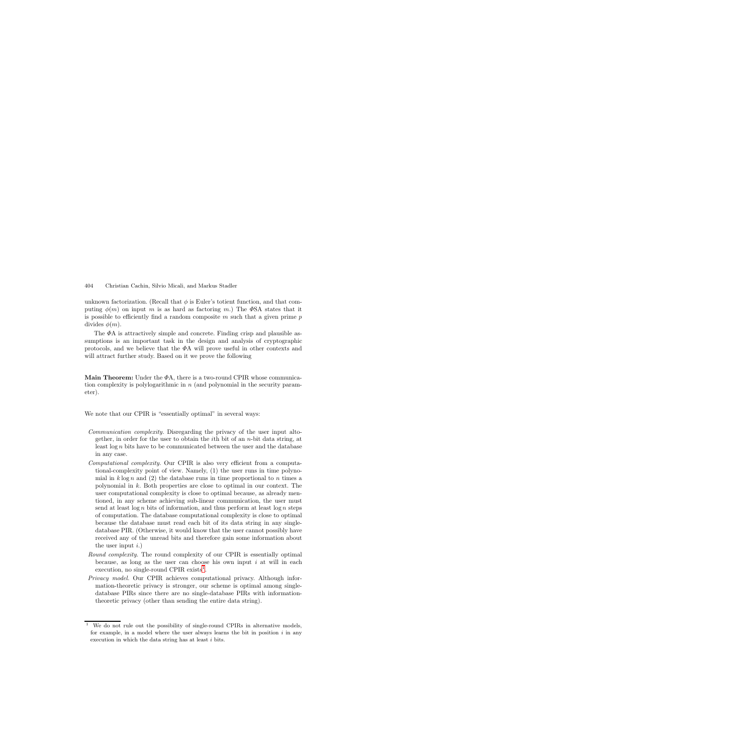unknown factorization. (Recall that  $\phi$  is Euler's totient function, and that computing  $\phi(m)$  on input m is as hard as factoring m.) The  $\Phi$ SA states that it is possible to efficiently find a random composite  $m$  such that a given prime  $p$ divides  $\phi(m)$ .

The  $\Phi$ A is attractively simple and concrete. Finding crisp and plausible assumptions is an important task in the design and analysis of cryptographic protocols, and we believe that the  $\Phi$ A will prove useful in other contexts and will attract further study. Based on it we prove the following

**Main Theorem:** Under the  $\Phi$ A, there is a two-round CPIR whose communication complexity is polylogarithmic in  $n$  (and polynomial in the security parameter).

We note that our CPIR is "essentially optimal" in several ways:

- *Communication complexity.* Disregarding the privacy of the user input altogether, in order for the user to obtain the *i*th bit of an  $n$ -bit data string, at least  $\log n$  bits have to be communicated between the user and the database in any case.
- *Computational complexity.* Our CPIR is also very efficient from a computational-complexity point of view. Namely, (1) the user runs in time polynomial in  $k \log n$  and (2) the database runs in time proportional to n times a polynomial in k. Both properties are close to optimal in our context. The user computational complexity is close to optimal because, as already mentioned, in any scheme achieving sub-linear communication, the user must send at least  $\log n$  bits of information, and thus perform at least  $\log n$  steps of computation. The database computational complexity is close to optimal because the database must read each bit of its data string in any singledatabase PIR. (Otherwise, it would know that the user cannot possibly have received any of the unread bits and therefore gain some information about the user input  $i$ .)
- *Round complexity.* The round complexity of our CPIR is essentially optimal because, as long as the user can choose his own input  $i$  at will in each execution, no single-round CPIR exists<sup>[1](#page-2-0)</sup>.
- *Privacy model.* Our CPIR achieves computational privacy. Although information-theoretic privacy is stronger, our scheme is optimal among singledatabase PIRs since there are no single-database PIRs with informationtheoretic privacy (other than sending the entire data string).

<span id="page-2-0"></span>We do not rule out the possibility of single-round CPIRs in alternative models, for example, in a model where the user always learns the bit in position  $i$  in any execution in which the data string has at least *i* bits.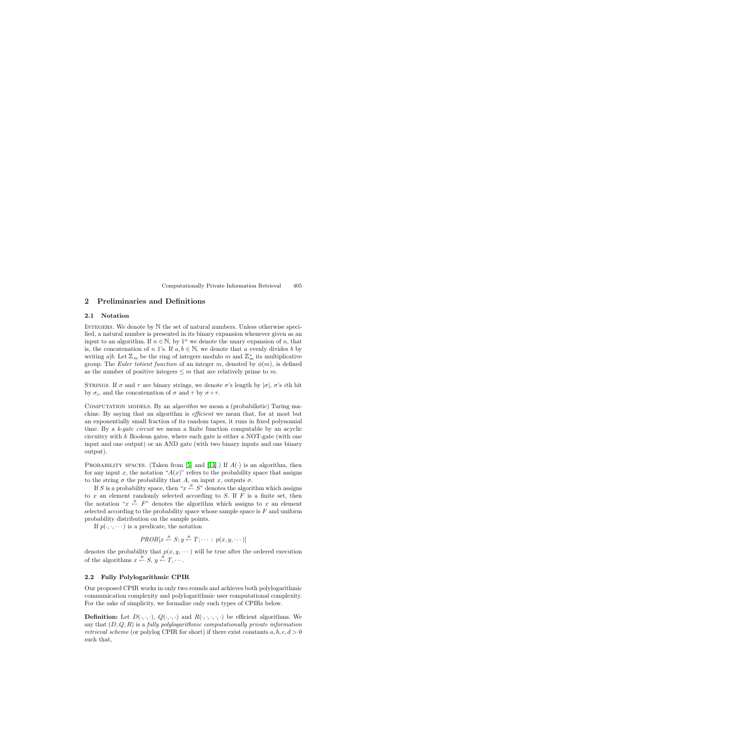# **2 Preliminaries and Definitions**

### **2.1 Notation**

Integers. We denote by <sup>N</sup> the set of natural numbers. Unless otherwise specified, a natural number is presented in its binary expansion whenever given as an input to an algorithm. If  $n \in \mathbb{N}$ , by  $1^n$  we denote the unary expansion of n, that is, the concatenation of n 1's. If  $a, b \in \mathbb{N}$ , we denote that a evenly divides b by writing  $a|b$ . Let  $\mathbb{Z}_m$  be the ring of integers modulo m and  $\mathbb{Z}_m^*$  its multiplicative group. The *Euler totient function* of an integer m, denoted by  $\phi(m)$ , is defined as the number of positive integers  $\leq m$  that are relatively prime to m.

STRINGS. If  $\sigma$  and  $\tau$  are binary strings, we denote  $\sigma$ 's length by  $|\sigma|$ ,  $\sigma$ 's *i*th bit by  $\sigma_i$ , and the concatenation of  $\sigma$  and  $\tau$  by  $\sigma \circ \tau$ .

COMPUTATION MODELS. By an *algorithm* we mean a (probabilistic) Turing machine. By saying that an algorithm is *efficient* we mean that, for at most but an exponentially small fraction of its random tapes, it runs in fixed polynomial time. By a *k-gate circuit* we mean a finite function computable by an acyclic circuitry with  $k$  Boolean gates, where each gate is either a NOT-gate (with one input and one output) or an AND gate (with two binary inputs and one binary output).

PROBABILITY SPACES. (Taken from [\[5\]](#page-12-8) and [\[14\]](#page-12-9).) If  $A(\cdot)$  is an algorithm, then for any input x, the notation " $A(x)$ " refers to the probability space that assigns to the string  $\sigma$  the probability that A, on input x, outputs  $\sigma$ .

If S is a probability space, then " $x \stackrel{R}{\leftarrow} S$ " denotes the algorithm which assigns to  $x$  an element randomly selected according to  $S$ . If  $F$  is a finite set, then the notation " $x \stackrel{R}{\leftarrow} F$ " denotes the algorithm which assigns to x an element selected according to the probability space whose sample space is  $F$  and uniform probability distribution on the sample points.

If  $p(\cdot, \cdot, \dots)$  is a predicate, the notation

$$
PROB[x \stackrel{R}{\leftarrow} S; y \stackrel{R}{\leftarrow} T; \cdots : p(x, y, \cdots)]
$$

denotes the probability that  $p(x, y, \dots)$  will be true after the ordered execution of the algorithms  $x \stackrel{R}{\leftarrow} S$ ,  $y \stackrel{R}{\leftarrow} T$ ,  $\cdots$ .

### **2.2 Fully Polylogarithmic CPIR**

Our proposed CPIR works in only two rounds and achieves both polylogarithmic communication complexity and polylogarithmic user computational complexity. For the sake of simplicity, we formalize only such types of CPIRs below.

**Definition:** Let  $D(\cdot, \cdot, \cdot)$ ,  $Q(\cdot, \cdot, \cdot)$  and  $R(\cdot, \cdot, \cdot, \cdot, \cdot)$  be efficient algorithms. We say that (D, Q, R) is a *fully polylogarithmic computationally private information retrieval scheme* (or polylog CPIR for short) if there exist constants  $a, b, c, d > 0$ such that,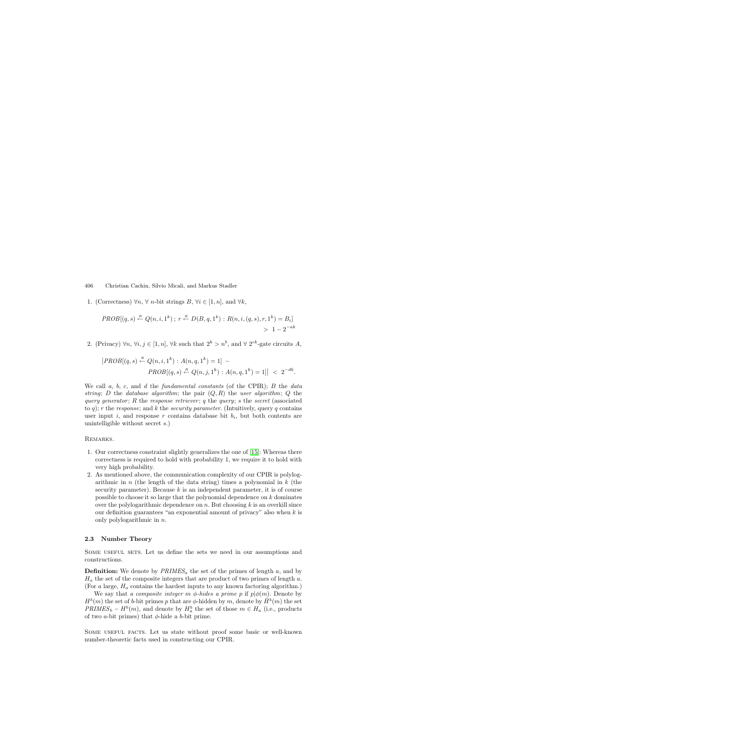1. (Correctness)  $\forall n, \forall n$ -bit strings  $B, \forall i \in [1, n]$ , and  $\forall k$ ,

$$
PROB[(q,s) \stackrel{R}{\leftarrow} Q(n,i,1^k); r \stackrel{R}{\leftarrow} D(B,q,1^k): R(n,i,(q,s),r,1^k) = B_i]
$$
  
> 1 - 2<sup>-ak</sup>

2. (Privacy)  $\forall n, \forall i, j \in [1, n], \forall k$  such that  $2^k > n^b$ , and  $\forall 2^{ck}$ -gate circuits A,

$$
\begin{aligned} \left| \text{PROB}[(q,s) \xleftarrow{\text{R}} Q(n,i,1^k) : A(n,q,1^k) = 1 \right] \ - \\ \text{PROB}[(q,s) \xleftarrow{\text{R}} Q(n,j,1^k) : A(n,q,1^k) = 1] \right| &< 2^{-dk}. \end{aligned}
$$

We call a, b, c, and d the *fundamental constants* (of the CPIR); B the *data string*; D the *database algorithm*; the pair (Q, R) the *user algorithm*; Q the *query generator* ; R the *response retriever*; q the *query*; s the *secret* (associated to q); r the *response*; and k the *security parameter*. (Intuitively, query q contains user input i, and response r contains database bit  $b_i$ , but both contents are unintelligible without secret s.)

#### Remarks.

- 1. Our correctness constraint slightly generalizes the one of [\[15\]](#page-12-6): Whereas there correctness is required to hold with probability 1, we require it to hold with very high probability.
- 2. As mentioned above, the communication complexity of our CPIR is polylogarithmic in n (the length of the data string) times a polynomial in  $k$  (the security parameter). Because  $k$  is an independent parameter, it is of course possible to choose it so large that the polynomial dependence on k dominates over the polylogarithmic dependence on  $n$ . But choosing  $k$  is an overkill since our definition guarantees "an exponential amount of privacy" also when  $k$  is only polylogarithmic in n.

#### **2.3 Number Theory**

Some useful sets. Let us define the sets we need in our assumptions and constructions.

**Definition:** We denote by  $PRIMES<sub>a</sub>$  the set of the primes of length  $a$ , and by  $H_a$  the set of the composite integers that are product of two primes of length a. (For a large,  $H_a$  contains the hardest inputs to any known factoring algorithm.)

We say that *a composite integer* m  $\phi$ -hides a prime p if  $p | \phi(m)$ . Denote by  $H^{b}(m)$  the set of b-bit primes p that are  $\phi$ -hidden by m, denote by  $H^{b}(m)$  the set  $PRIMES_b - H^b(m)$ , and denote by  $H_a^b$  the set of those  $m \in H_a$  (i.e., products of two *a*-bit primes) that  $\phi$ -hide a *b*-bit prime.

SOME USEFUL FACTS. Let us state without proof some basic or well-known number-theoretic facts used in constructing our CPIR.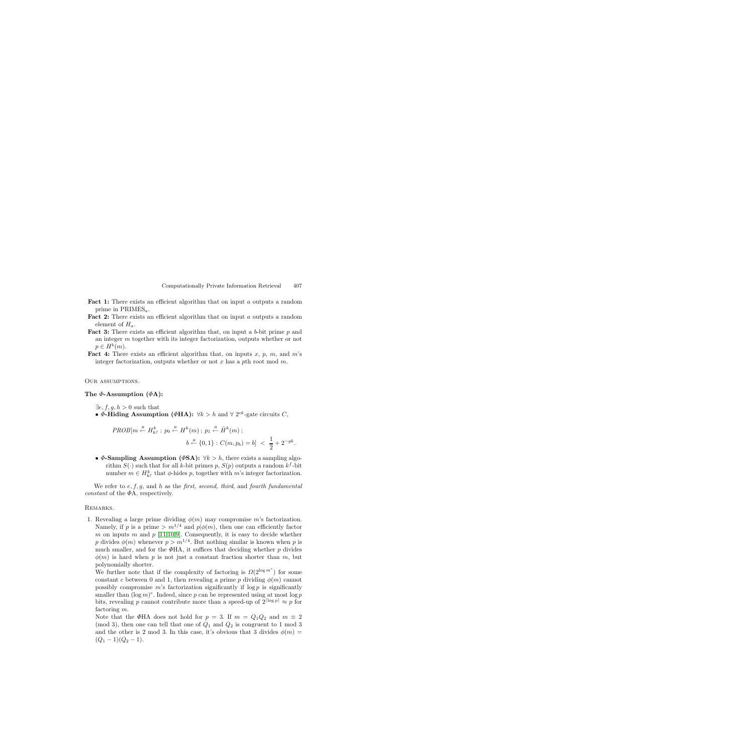- **Fact 1:** There exists an efficient algorithm that on input a outputs a random prime in  $PRIMES_a$ .
- **Fact 2:** There exists an efficient algorithm that on input a outputs a random element of  $H_a$ .
- **Fact 3:** There exists an efficient algorithm that, on input a b-bit prime p and an integer m together with its integer factorization, outputs whether or not  $p \in H^b(m)$ .
- **Fact 4:** There exists an efficient algorithm that, on inputs x,  $p$ ,  $m$ , and  $m$ 's integer factorization, outputs whether or not x has a pth root mod  $m$ .

Our assumptions.

#### **The** Φ**-Assumption (**Φ**A):**

 $\exists e, f, g, h > 0$  such that

•  $\Phi$ -Hiding Assumption ( $\Phi$ HA):  $\forall k > h$  and  $\forall$  2<sup>ek</sup>-gate circuits C,

$$
PROB[m \stackrel{R}{\leftarrow} H_{k}^{k} ; p_0 \stackrel{R}{\leftarrow} H^{k}(m) ; p_1 \stackrel{R}{\leftarrow} \bar{H}^{k}(m) ;
$$
  

$$
b \stackrel{R}{\leftarrow} \{0,1\} : C(m, p_b) = b] < \frac{1}{2} + 2^{-gk}.
$$

•  $\Phi$ -**Sampling Assumption** ( $\Phi$ **SA):**  $\forall k > h$ , there exists a sampling algorithm  $S(\cdot)$  such that for all k-bit primes p,  $S(p)$  outputs a random  $k^{f}$ -bit number  $m \in H_{k}^k$  that  $\phi$ -hides p, together with m's integer factorization.

We refer to e, f, g, and h as the *first, second, third*, and *fourth fundamental constant* of the ΦA, respectively.

Remarks.

1. Revealing a large prime dividing  $\phi(m)$  may compromise m's factorization. Namely, if p is a prime  $> m^{1/4}$  and  $p(\phi(m))$ , then one can efficiently factor m on inputs m and p [\[11](#page-12-10)[,10,](#page-12-11)[9\]](#page-12-12). Consequently, it is easy to decide whether p divides  $\phi(m)$  whenever  $p > m^{1/4}$ . But nothing similar is known when p is much smaller, and for the  $\Phi$ HA, it suffices that deciding whether p divides  $\phi(m)$  is hard when p is not just a constant fraction shorter than m, but polynomially shorter.

We further note that if the complexity of factoring is  $\Omega(2^{\log m^c})$  for some constant c between 0 and 1, then revealing a prime p dividing  $\phi(m)$  cannot possibly compromise  $m$ 's factorization significantly if  $\log p$  is significantly smaller than  $(\log m)^c$ . Indeed, since p can be represented using at most  $\log p$ bits, revealing p cannot contribute more than a speed-up of  $2^{\lceil \log p \rceil} \approx p$  for factoring m.

Note that the  $\Phi$ HA does not hold for  $p = 3$ . If  $m = Q_1 Q_2$  and  $m \equiv 2$ (mod 3), then one can tell that one of  $Q_1$  and  $Q_2$  is congruent to 1 mod 3 and the other is 2 mod 3. In this case, it's obvious that 3 divides  $\phi(m)$  =  $(Q_1-1)(Q_2-1).$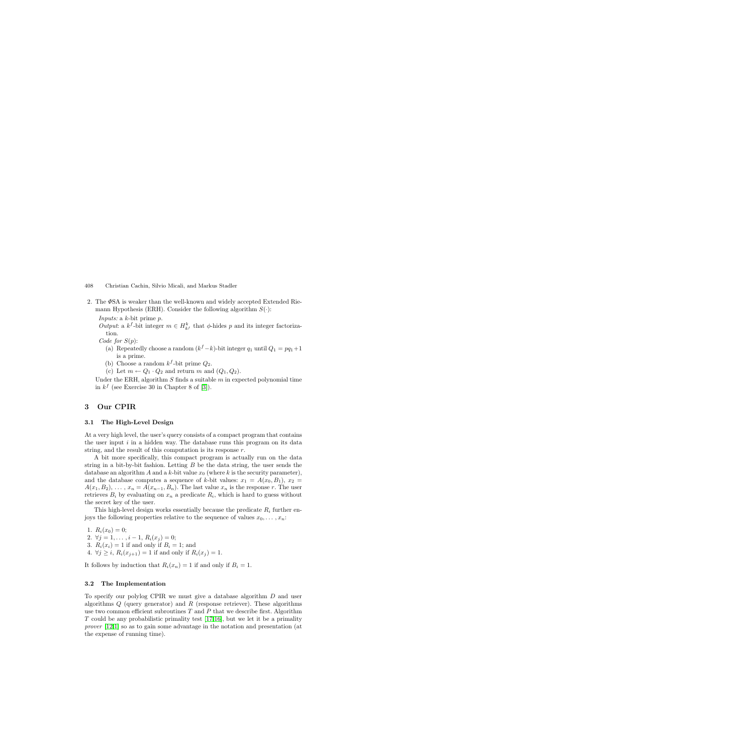2. The ΦSA is weaker than the well-known and widely accepted Extended Riemann Hypothesis (ERH). Consider the following algorithm  $S(\cdot)$ :

*Inputs:* a k-bit prime p.

*Output*: a  $k^f$ -bit integer  $m \in H^k_{k^f}$  that  $\phi$ -hides p and its integer factorization.

*Code for* S(p):

- (a) Repeatedly choose a random  $(k^f-k)$ -bit integer  $q_1$  until  $Q_1 = pq_1+1$ is a prime.
- (b) Choose a random  $k^f$ -bit prime  $Q_2$ .
- (c) Let  $m \leftarrow Q_1 \cdot Q_2$  and return m and  $(Q_1, Q_2)$ .

Under the ERH, algorithm  $S$  finds a suitable  $m$  in expected polynomial time in  $k^f$  (see Exercise 30 in Chapter 8 of [\[3\]](#page-12-13)).

# **3 Our CPIR**

#### **3.1 The High-Level Design**

At a very high level, the user's query consists of a compact program that contains the user input  $i$  in a hidden way. The database runs this program on its data string, and the result of this computation is its response  $r$ .

A bit more specifically, this compact program is actually run on the data string in a bit-by-bit fashion. Letting  $B$  be the data string, the user sends the database an algorithm A and a k-bit value  $x_0$  (where k is the security parameter), and the database computes a sequence of k-bit values:  $x_1 = A(x_0, B_1), x_2 =$  $A(x_1, B_2), \ldots, x_n = A(x_{n-1}, B_n)$ . The last value  $x_n$  is the response r. The user retrieves  $B_i$  by evaluating on  $x_n$  a predicate  $R_i$ , which is hard to guess without the secret key of the user.

This high-level design works essentially because the predicate  $R_i$  further enjoys the following properties relative to the sequence of values  $x_0, \ldots, x_n$ :

1.  $R_i(x_0) = 0;$ 2.  $\forall j = 1, \ldots, i - 1, R_i(x_j) = 0;$ 3.  $R_i(x_i) = 1$  if and only if  $B_i = 1$ ; and 4.  $\forall j \geq i$ ,  $R_i(x_{j+1}) = 1$  if and only if  $R_i(x_j) = 1$ .

It follows by induction that  $R_i(x_n) = 1$  if and only if  $B_i = 1$ .

### **3.2 The Implementation**

To specify our polylog CPIR we must give a database algorithm D and user algorithms  $Q$  (query generator) and  $R$  (response retriever). These algorithms use two common efficient subroutines  $T$  and  $P$  that we describe first. Algorithm T could be any probabilistic primality test [\[17](#page-12-14)[,16\]](#page-12-15), but we let it be a primality *prover* [\[12](#page-12-16)[,1\]](#page-12-17) so as to gain some advantage in the notation and presentation (at the expense of running time).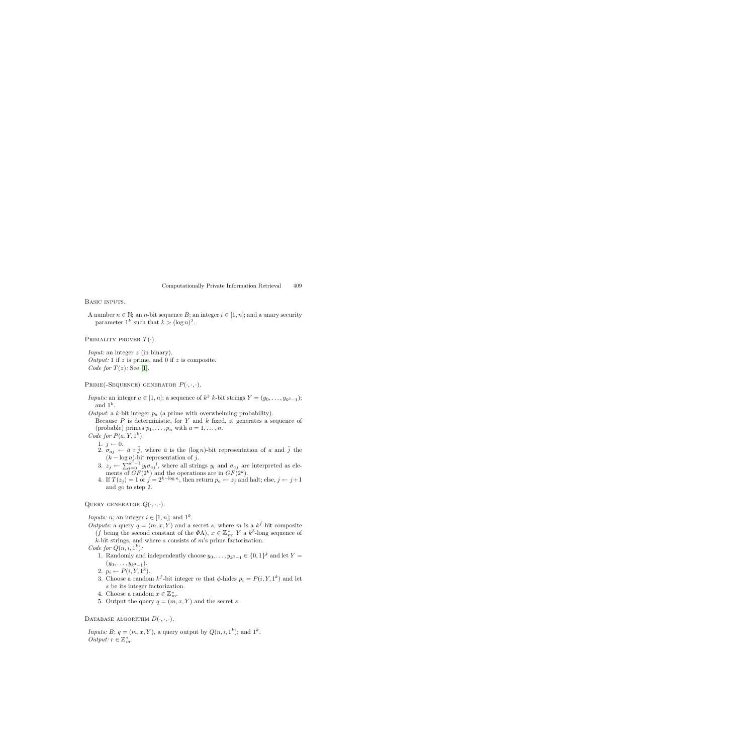Basic inputs.

A number  $n \in \mathbb{N}$ ; an n-bit sequence B; an integer  $i \in [1, n]$ ; and a unary security parameter  $1^k$  such that  $k > (\log n)^2$ .

PRIMALITY PROVER  $T(\cdot)$ .

*Input:* an integer z (in binary). *Output:* 1 if z is prime, and 0 if z is composite. *Code for*  $T(z)$ *:* See [\[1\]](#page-12-17).

PRIME(-SEQUENCE) GENERATOR  $P(\cdot,\cdot,\cdot)$ .

*Inputs:* an integer  $a \in [1, n]$ ; a sequence of  $k^3$  k-bit strings  $Y = (y_0, \ldots, y_{k^3-1})$ ; and  $1^k$ .

*Output*: a k-bit integer  $p_a$  (a prime with overwhelming probability).

Because  $P$  is deterministic, for  $Y$  and  $k$  fixed, it generates a sequence of (probable) primes  $p_1, \ldots, p_n$  with  $a = 1, \ldots, n$ .

*Code for*  $P(a, Y, 1^k)$ :

- 1.  $j \leftarrow 0$ .
- 2.  $\sigma_{ai} \leftarrow \bar{a} \circ \bar{j}$ , where  $\bar{a}$  is the  $(\log n)$ -bit representation of a and  $\bar{j}$  the  $(k - \log n)$ -bit representation of j.
- 3.  $z_j \leftarrow \sum_{l=0}^{k^3-1} y_l \sigma_{aj}^l$ , where all strings  $y_l$  and  $\sigma_{aj}$  are interpreted as elements of  $GF(2^k)$  and the operations are in  $GF(2^k)$ .
- 4. If  $T(z_j) = 1$  or  $j = 2^{k-\log n}$ , then return  $p_a \leftarrow z_j$  and halt; else,  $j \leftarrow j+1$ and go to step 2.

QUERY GENERATOR  $Q(\cdot, \cdot, \cdot)$ .

*Inputs: n*; an integer  $i \in [1, n]$ ; and  $1^k$ .

*Outputs*: a query  $q = (m, x, Y)$  and a secret s, where m is a  $k^f$ -bit composite (f being the second constant of the  $\Phi$ A),  $x \in \mathbb{Z}_m^*$ , Y a  $k^3$ -long sequence of  $k$ -bit strings, and where s consists of  $m$ 's prime factorization.

*Code for*  $Q(n, i, 1^k)$ *:* 

- 1. Randomly and independently choose  $y_0, \ldots, y_{k^3-1} \in \{0,1\}^k$  and let  $Y =$  $(y_0,\ldots,y_{k^3-1}).$
- 2.  $p_i \leftarrow P(i, Y, 1^k)$ .
- 3. Choose a random  $k^f$ -bit integer m that  $\phi$ -hides  $p_i = P(i, Y, 1^k)$  and let s be its integer factorization.
- 4. Choose a random  $x \in \mathbb{Z}_m^*$ .
- 5. Output the query  $q = (m, x, Y)$  and the secret s.

DATABASE ALGORITHM  $D(\cdot,\cdot,\cdot)$ .

*Inputs: B*;  $q = (m, x, Y)$ , a query output by  $Q(n, i, 1<sup>k</sup>)$ ; and  $1<sup>k</sup>$ . *Output:*  $r \in \mathbb{Z}_m^*$ .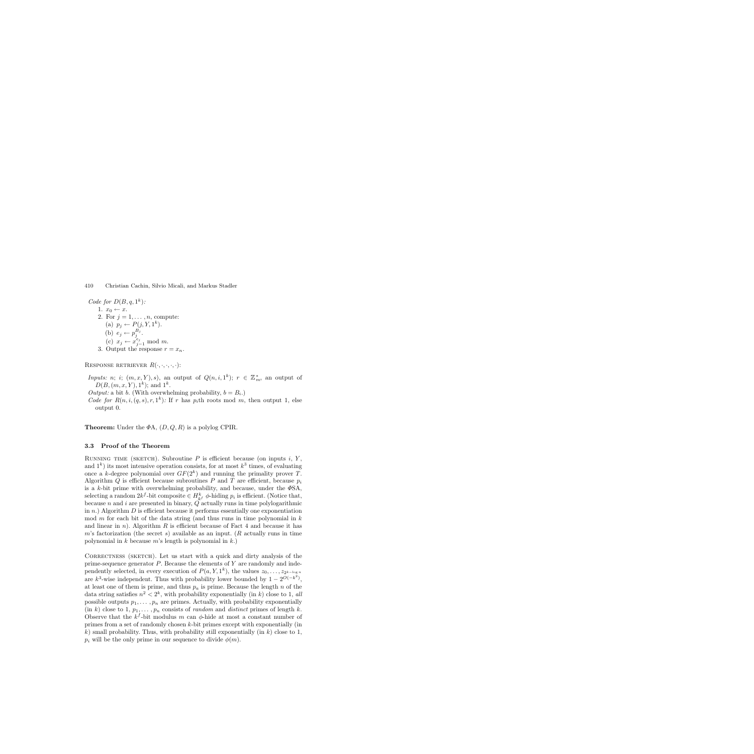*Code for*  $D(B, q, 1^k)$ *:* 1.  $x_0 \leftarrow x$ . 2. For  $j = 1, \ldots, n$ , compute: (a)  $p_i \leftarrow P(j, Y, 1^k)$ . (b)  $e_j \leftarrow p_j^{B_j}$ . (c)  $x_j \leftarrow x_{j-1}^{e_j} \mod m$ . 3. Output the response  $r = x_n$ .

RESPONSE RETRIEVER  $R(\cdot, \cdot, \cdot, \cdot, \cdot)$ :

- *Inputs:* n; i;  $(m, x, Y), s$ , an output of  $Q(n, i, 1^k)$ ;  $r \in \mathbb{Z}_m^*$ , an output of  $D(B,(m, x, Y), 1^k)$ ; and  $1^k$ .
- *Output:* a bit b. (With overwhelming probability,  $b = B_i$ .)
- *Code for*  $R(n, i, (q, s), r, 1^k)$ : If r has  $p_i$ th roots mod m, then output 1, else output 0.

**Theorem:** Under the  $\Phi$ A,  $(D, Q, R)$  is a polylog CPIR.

#### **3.3 Proof of the Theorem**

RUNNING TIME (SKETCH). Subroutine P is efficient because (on inputs i, Y, and  $1^k$ ) its most intensive operation consists, for at most  $k^3$  times, of evaluating once a k-degree polynomial over  $GF(2^k)$  and running the primality prover T. Algorithm  $Q$  is efficient because subroutines  $P$  and  $T$  are efficient, because  $p_i$ is a k-bit prime with overwhelming probability, and because, under the  $\Phi$ SA, selecting a random  $2k^f$ -bit composite  $\in H_{k^f}^k$   $\phi$ -hiding  $p_i$  is efficient. (Notice that, because n and i are presented in binary,  $Q$  actually runs in time polylogarithmic in n.) Algorithm  $D$  is efficient because it performs essentially one exponentiation mod m for each bit of the data string (and thus runs in time polynomial in  $k$ ) and linear in n). Algorithm R is efficient because of Fact 4 and because it has m's factorization (the secret s) available as an input. (R actually runs in time polynomial in  $k$  because  $m$ 's length is polynomial in  $k$ .)

CORRECTNESS (SKETCH). Let us start with a quick and dirty analysis of the prime-sequence generator  $P$ . Because the elements of  $Y$  are randomly and independently selected, in every execution of  $P(a, Y, 1^k)$ , the values  $z_0, \ldots, z_{2^{k-\log n}}$ are  $k^3$ -wise independent. Thus with probability lower bounded by  $1 - 2^{O(-k^2)}$ , at least one of them is prime, and thus  $p_a$  is prime. Because the length n of the data string satisfies  $n^2 < 2^k$ , with probability exponentially (in k) close to 1, all possible outputs  $p_1, \ldots, p_n$  are primes. Actually, with probability exponentially  $(in k)$  close to 1,  $p_1, \ldots, p_n$  consists of *random* and *distinct* primes of length k. Observe that the  $k^f$ -bit modulus m can  $\phi$ -hide at most a constant number of primes from a set of randomly chosen k-bit primes except with exponentially (in k) small probability. Thus, with probability still exponentially (in  $k$ ) close to 1,  $p_i$  will be the only prime in our sequence to divide  $\phi(m)$ .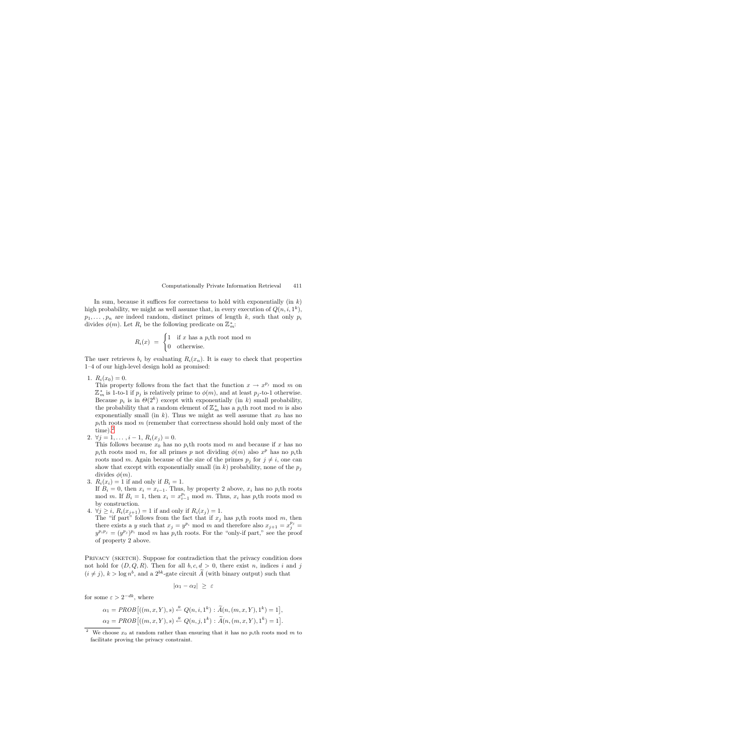In sum, because it suffices for correctness to hold with exponentially  $(in k)$ high probability, we might as well assume that, in every execution of  $Q(n, i, 1^k)$ ,  $p_1,\ldots,p_n$  are indeed random, distinct primes of length k, such that only  $p_i$ divides  $\phi(m)$ . Let  $R_i$  be the following predicate on  $\mathbb{Z}_m^*$ :

$$
R_i(x) = \begin{cases} 1 & \text{if } x \text{ has a } p_i \text{th root mod } m \\ 0 & \text{otherwise.} \end{cases}
$$

The user retrieves  $b_i$  by evaluating  $R_i(x_n)$ . It is easy to check that properties 1–4 of our high-level design hold as promised:

1.  $R_i(x_0) = 0$ .

This property follows from the fact that the function  $x \to x^{p_j}$  mod m on  $\mathbb{Z}_m^*$  is 1-to-1 if  $p_j$  is relatively prime to  $\phi(m)$ , and at least  $p_j$ -to-1 otherwise. Because  $p_i$  is in  $\Theta(2^k)$  except with exponentially (in k) small probability, the probability that a random element of  $\mathbb{Z}_m^*$  has a  $p_i$ <sup>th</sup> root mod m is also exponentially small (in k). Thus we might as well assume that  $x_0$  has no  $p_i$ th roots mod m (remember that correctness should hold only most of the  $time)$ .<sup>[2](#page-9-0)</sup>

2.  $\forall j = 1, \ldots, i - 1, R_i(x_j) = 0.$ 

This follows because  $x_0$  has no  $p_i$ th roots mod m and because if x has no  $p_i$ th roots mod m, for all primes p not dividing  $\phi(m)$  also  $x^p$  has no  $p_i$ th roots mod m. Again because of the size of the primes  $p_i$  for  $j \neq i$ , one can show that except with exponentially small (in k) probability, none of the  $p_j$ divides  $\phi(m)$ .

- 3.  $R_i(x_i) = 1$  if and only if  $B_i = 1$ . If  $B_i = 0$ , then  $x_i = x_{i-1}$ . Thus, by property 2 above,  $x_i$  has no  $p_i$ th roots mod m. If  $B_i = 1$ , then  $x_i = x_{i-1}^{p_i} \mod m$ . Thus,  $x_i$  has  $p_i$ th roots mod m by construction.
- 4.  $\forall j \geq i$ ,  $R_i(x_{j+1}) = 1$  if and only if  $R_i(x_j) = 1$ . The "if part" follows from the fact that if  $x_i$  has  $p_i$ th roots mod m, then there exists a y such that  $x_j = y^{p_i} \mod m$  and therefore also  $x_{j+1} = x_j^{p_j} =$  $y^{p_i p_j} = (y^{p_j})^{p_i}$  mod m has  $p_i$ th roots. For the "only-if part," see the proof of property 2 above.

PRIVACY (SKETCH). Suppose for contradiction that the privacy condition does not hold for  $(D, Q, R)$ . Then for all  $b, c, d > 0$ , there exist n, indices i and j  $(i \neq j)$ ,  $k > \log n^b$ , and a  $2^{bk}$ -gate circuit  $\widetilde{A}$  (with binary output) such that

$$
|\alpha_1 - \alpha_2| \geq \varepsilon
$$

for some  $\varepsilon > 2^{-dk}$ , where

$$
\alpha_1 = PROB[(m, x, Y), s) \stackrel{R}{\leftarrow} Q(n, i, 1^k) : \widetilde{A}(n, (m, x, Y), 1^k) = 1],
$$
  

$$
\alpha_2 = PROB[(m, x, Y), s) \stackrel{R}{\leftarrow} Q(n, j, 1^k) : \widetilde{A}(n, (m, x, Y), 1^k) = 1].
$$

<span id="page-9-0"></span>We choose  $x_0$  at random rather than ensuring that it has no  $p_i$ th roots mod m to facilitate proving the privacy constraint.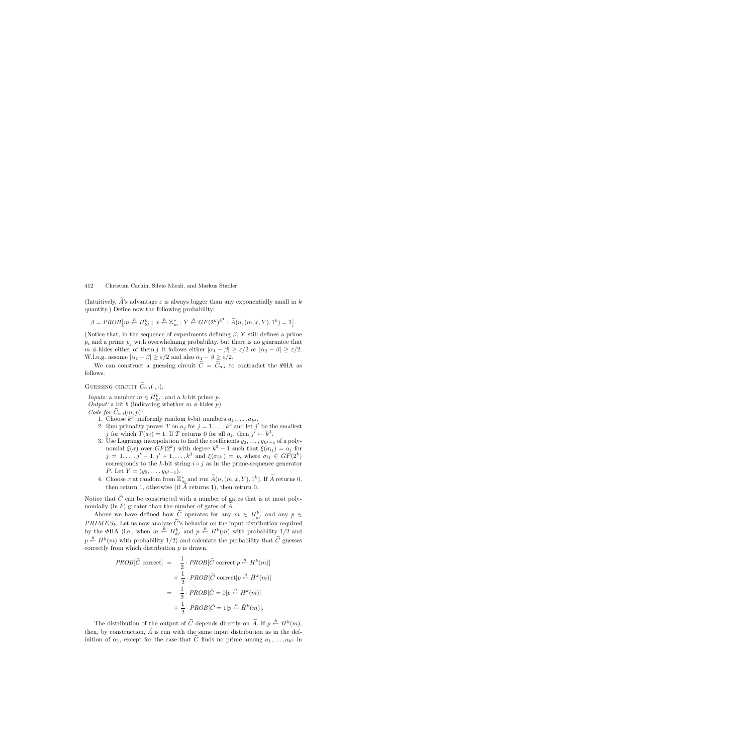(Intuitively, A's advantage  $\varepsilon$  is always bigger than any exponentially small in k quantity.) Define now the following probability:

$$
\beta = PROB\big[m \stackrel{R}{\leftarrow} H_{k}^k \; ; \; x \stackrel{R}{\leftarrow} \mathbb{Z}_m^* \; ; \; Y \stackrel{R}{\leftarrow} GF(2^k)^{k^3} \; : \; \widetilde{A}(n,(m,x,Y),1^k) = 1\big].
$$

(Notice that, in the sequence of experiments defining  $\beta$ , Y still defines a prime  $p_i$  and a prime  $p_j$  with overwhelming probability, but there is no guarantee that m  $\phi$ -hides either of them.) It follows either  $|\alpha_1 - \beta| \geq \varepsilon/2$  or  $|\alpha_2 - \beta| \geq \varepsilon/2$ . W.l.o.g. assume  $|\alpha_1 - \beta| \ge \varepsilon/2$  and also  $\alpha_1 - \beta \ge \varepsilon/2$ .

We can construct a guessing circuit  $C = C_{n,i}$  to contradict the  $\Phi$ HA as follows.

GUESSING CIRCUIT  $\widetilde{C}_{n,i}(\cdot,\cdot)$ .

*Inputs:* a number  $m \in H^k_{k}$ ; and a k-bit prime p. *Output:* a bit b (indicating whether  $m \phi$ -hides  $p$ ). *Code for*  $\widetilde{C}_{n,i}(m, p)$ *:* 

- 1. Choose  $k^3$  uniformly random k-bit numbers  $a_1, \ldots, a_k$ .
- 2. Run primality prover T on  $a_j$  for  $j = 1, \ldots, k^3$  and let j' be the smallest j for which  $T(a_j) = 1$ . If T returns 0 for all  $a_j$ , then  $j' \leftarrow k^3$ .
- 3. Use Lagrange interpolation to find the coefficients  $y_0, \ldots, y_{k^3-1}$  of a polynomial  $\xi(\sigma)$  over  $GF(2^k)$  with degree  $k^3 - 1$  such that  $\xi(\sigma_{ij}) = a_j$  for  $j = 1, \ldots, j'-1, j'+1, \ldots, k^3$  and  $\xi(\sigma_{ij'}) = p$ , where  $\sigma_{ij} \in GF(2^k)$ corresponds to the k-bit string  $i \circ j$  as in the prime-sequence generator P. Let  $Y = (y_0, \ldots, y_{k^3-1}).$
- 4. Choose x at random from  $\mathbb{Z}_{m_\infty}^*$  and run  $\widetilde{A}(n,(m,x,Y),1^k)$ . If  $\widetilde{A}$  returns 0, then return 1, otherwise (if  $A$  returns 1), then return 0.

Notice that  $\tilde{C}$  can be constructed with a number of gates that is at most polynomially (in k) greater than the number of gates of  $\widetilde{A}$ .

Above we have defined how  $\widetilde{C}$  operates for any  $m \in H^k_{k}$  and any  $p \in$  $PRIMES_k$ . Let us now analyze  $\widetilde{C}$ 's behavior on the input distribution required by the  $\Phi$ HA (i.e., when  $m \stackrel{R}{\leftarrow} H_{k}^k$  and  $p \stackrel{R}{\leftarrow} H^k(m)$  with probability 1/2 and  $p \stackrel{R}{\leftarrow} \bar{H}^k(m)$  with probability  $1/2$ ) and calculate the probability that  $\tilde{C}$  guesses correctly from which distribution p is drawn.

$$
PROB[\widetilde{C} \text{ correct}] = \frac{1}{2} \cdot PROB[\widetilde{C} \text{ correct}|p \stackrel{R}{\leftarrow} H^k(m)]
$$

$$
+ \frac{1}{2} \cdot PROB[\widetilde{C} \text{ correct}|p \stackrel{R}{\leftarrow} \bar{H}^k(m)]
$$

$$
= \frac{1}{2} \cdot PROB[\widetilde{C} = 0|p \stackrel{R}{\leftarrow} H^k(m)]
$$

$$
+ \frac{1}{2} \cdot PROB[\widetilde{C} = 1|p \stackrel{R}{\leftarrow} \bar{H}^k(m)].
$$

The distribution of the output of  $\tilde{C}$  depends directly on  $\tilde{A}$ . If  $p \stackrel{R}{\leftarrow} H^k(m)$ , then, by construction,  $\tilde{A}$  is run with the same input distribution as in the definition of  $\alpha_1$ , except for the case that  $\tilde{C}$  finds no prime among  $a_1, \ldots, a_{k^3}$  in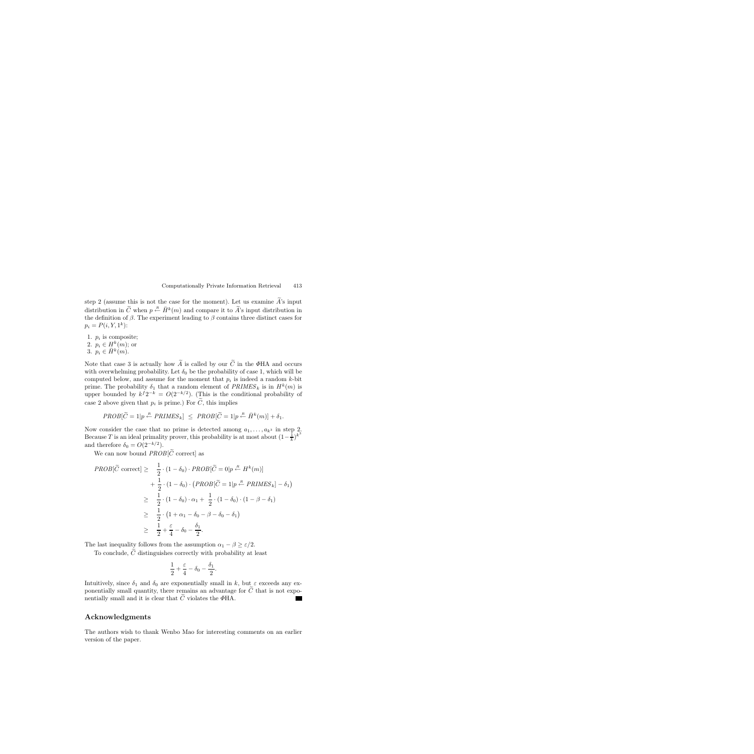step 2 (assume this is not the case for the moment). Let us examine  $\widetilde{A}$ 's input distribution in  $\widetilde{C}$  when  $p \stackrel{R}{\leftarrow} \bar{H}^k(m)$  and compare it to  $\widetilde{A}$ 's input distribution in the definition of  $\beta$ . The experiment leading to  $\beta$  contains three distinct cases for  $p_i = P(i, Y, 1^k)$ :

1.  $p_i$  is composite; 2.  $p_i \in H^k(m)$ ; or 3.  $p_i \in \bar{H}^k(m)$ .

Note that case 3 is actually how  $\widetilde{A}$  is called by our  $\widetilde{C}$  in the  $\Phi$ HA and occurs with overwhelming probability. Let  $\delta_0$  be the probability of case 1, which will be computed below, and assume for the moment that  $p_i$  is indeed a random k-bit prime. The probability  $\delta_1$  that a random element of  $PRIMES_k$  is in  $H^k(m)$  is upper bounded by  $k^{f}2^{-k} = O(2^{-k/2})$ . (This is the conditional probability of case 2 above given that  $p_i$  is prime.) For  $\tilde{C}$ , this implies

$$
PROB[\widetilde{C} = 1 | p \stackrel{R}{\leftarrow} PRIMES_k] \leq \, PROB[\widetilde{C} = 1 | p \stackrel{R}{\leftarrow} \bar{H}^k(m)] + \delta_1.
$$

Now consider the case that no prime is detected among  $a_1, \ldots, a_{k^3}$  in step 2. Because T is an ideal primality prover, this probability is at most about  $(1 - \frac{1}{k})^{k^3}$ and therefore  $\delta_0 = O(2^{-k/2})$ .

We can now bound  $PROB[\widetilde{C}]$  correct as

$$
PROB[\widetilde{C} \text{ correct}] \geq \frac{1}{2} \cdot (1 - \delta_0) \cdot PROB[\widetilde{C} = 0]p \stackrel{\text{R}}{\leftarrow} H^k(m)]
$$
  
+  $\frac{1}{2} \cdot (1 - \delta_0) \cdot (PROB[\widetilde{C} = 1]p \stackrel{\text{R}}{\leftarrow} PRIMES_k] - \delta_1)$   
 $\geq \frac{1}{2} \cdot (1 - \delta_0) \cdot \alpha_1 + \frac{1}{2} \cdot (1 - \delta_0) \cdot (1 - \beta - \delta_1)$   
 $\geq \frac{1}{2} \cdot (1 + \alpha_1 - \delta_0 - \beta - \delta_0 - \delta_1)$   
 $\geq \frac{1}{2} + \frac{\varepsilon}{4} - \delta_0 - \frac{\delta_1}{2}.$ 

The last inequality follows from the assumption  $\alpha_1 - \beta \geq \varepsilon/2$ .

To conclude,  $\tilde{C}$  distinguishes correctly with probability at least

$$
\frac{1}{2} + \frac{\varepsilon}{4} - \delta_0 - \frac{\delta_1}{2}.
$$

Intuitively, since  $\delta_1$  and  $\delta_0$  are exponentially small in k, but  $\varepsilon$  exceeds any exponentially small quantity, there remains an advantage for  $\tilde{C}$  that is not exponentially small and it is clear that  $\tilde{C}$  violates the  $\phi$ HA. nentially small and it is clear that  $C$  violates the  $\Phi$ HA.

### **Acknowledgments**

The authors wish to thank Wenbo Mao for interesting comments on an earlier version of the paper.